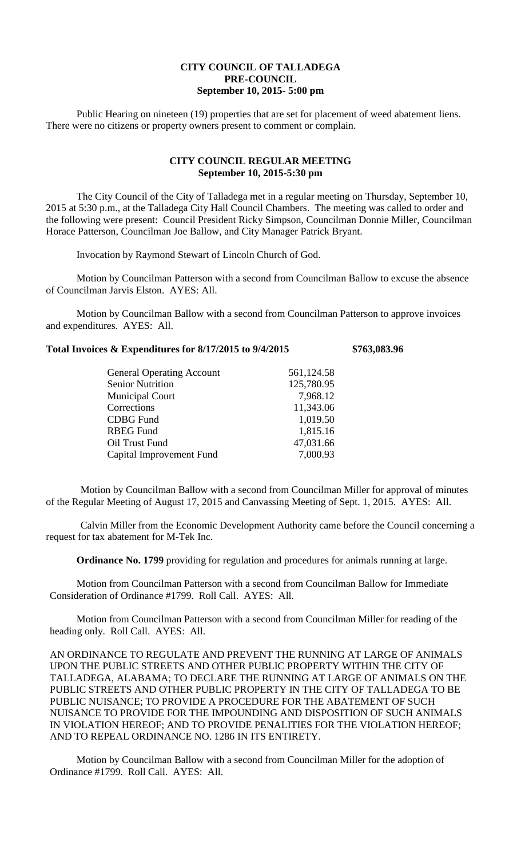## **CITY COUNCIL OF TALLADEGA PRE-COUNCIL September 10, 2015- 5:00 pm**

Public Hearing on nineteen (19) properties that are set for placement of weed abatement liens. There were no citizens or property owners present to comment or complain.

## **CITY COUNCIL REGULAR MEETING September 10, 2015-5:30 pm**

The City Council of the City of Talladega met in a regular meeting on Thursday, September 10, 2015 at 5:30 p.m., at the Talladega City Hall Council Chambers. The meeting was called to order and the following were present: Council President Ricky Simpson, Councilman Donnie Miller, Councilman Horace Patterson, Councilman Joe Ballow, and City Manager Patrick Bryant.

Invocation by Raymond Stewart of Lincoln Church of God.

Motion by Councilman Patterson with a second from Councilman Ballow to excuse the absence of Councilman Jarvis Elston. AYES: All.

Motion by Councilman Ballow with a second from Councilman Patterson to approve invoices and expenditures. AYES: All.

## **Total Invoices & Expenditures for 8/17/2015 to 9/4/2015 \$763,083.96**

| <b>General Operating Account</b> | 561,124.58 |
|----------------------------------|------------|
| <b>Senior Nutrition</b>          | 125,780.95 |
| <b>Municipal Court</b>           | 7,968.12   |
| Corrections                      | 11,343.06  |
| <b>CDBG</b> Fund                 | 1,019.50   |
| <b>RBEG Fund</b>                 | 1,815.16   |
| Oil Trust Fund                   | 47,031.66  |
| Capital Improvement Fund         | 7,000.93   |
|                                  |            |

Motion by Councilman Ballow with a second from Councilman Miller for approval of minutes of the Regular Meeting of August 17, 2015 and Canvassing Meeting of Sept. 1, 2015. AYES: All.

Calvin Miller from the Economic Development Authority came before the Council concerning a request for tax abatement for M-Tek Inc.

**Ordinance No. 1799** providing for regulation and procedures for animals running at large.

Motion from Councilman Patterson with a second from Councilman Ballow for Immediate Consideration of Ordinance #1799. Roll Call. AYES: All.

Motion from Councilman Patterson with a second from Councilman Miller for reading of the heading only. Roll Call. AYES: All.

AN ORDINANCE TO REGULATE AND PREVENT THE RUNNING AT LARGE OF ANIMALS UPON THE PUBLIC STREETS AND OTHER PUBLIC PROPERTY WITHIN THE CITY OF TALLADEGA, ALABAMA; TO DECLARE THE RUNNING AT LARGE OF ANIMALS ON THE PUBLIC STREETS AND OTHER PUBLIC PROPERTY IN THE CITY OF TALLADEGA TO BE PUBLIC NUISANCE; TO PROVIDE A PROCEDURE FOR THE ABATEMENT OF SUCH NUISANCE TO PROVIDE FOR THE IMPOUNDING AND DISPOSITION OF SUCH ANIMALS IN VIOLATION HEREOF; AND TO PROVIDE PENALITIES FOR THE VIOLATION HEREOF; AND TO REPEAL ORDINANCE NO. 1286 IN ITS ENTIRETY.

Motion by Councilman Ballow with a second from Councilman Miller for the adoption of Ordinance #1799. Roll Call. AYES: All.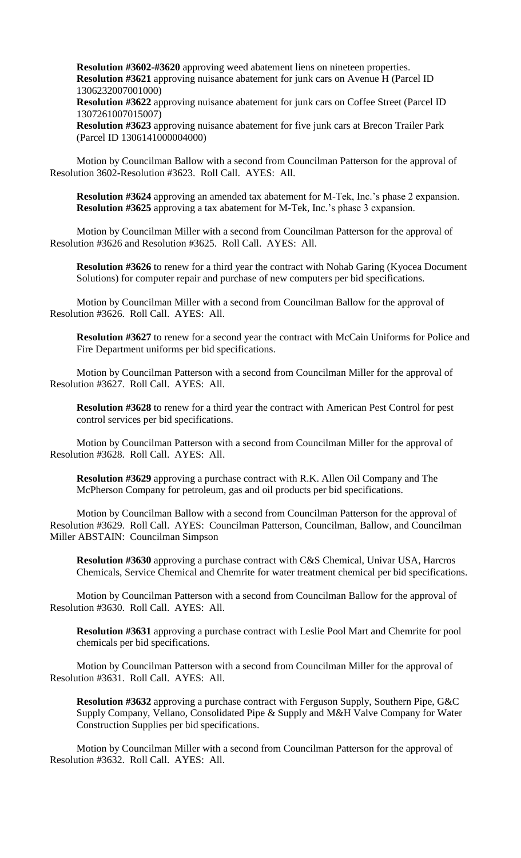**Resolution #3602-#3620** approving weed abatement liens on nineteen properties. **Resolution #3621** approving nuisance abatement for junk cars on Avenue H (Parcel ID 1306232007001000)

**Resolution #3622** approving nuisance abatement for junk cars on Coffee Street (Parcel ID 1307261007015007)

**Resolution #3623** approving nuisance abatement for five junk cars at Brecon Trailer Park (Parcel ID 1306141000004000)

Motion by Councilman Ballow with a second from Councilman Patterson for the approval of Resolution 3602-Resolution #3623. Roll Call. AYES: All.

**Resolution #3624** approving an amended tax abatement for M-Tek, Inc.'s phase 2 expansion. **Resolution #3625** approving a tax abatement for M-Tek, Inc.'s phase 3 expansion.

Motion by Councilman Miller with a second from Councilman Patterson for the approval of Resolution #3626 and Resolution #3625. Roll Call. AYES: All.

**Resolution #3626** to renew for a third year the contract with Nohab Garing (Kyocea Document Solutions) for computer repair and purchase of new computers per bid specifications.

Motion by Councilman Miller with a second from Councilman Ballow for the approval of Resolution #3626. Roll Call. AYES: All.

**Resolution #3627** to renew for a second year the contract with McCain Uniforms for Police and Fire Department uniforms per bid specifications.

Motion by Councilman Patterson with a second from Councilman Miller for the approval of Resolution #3627. Roll Call. AYES: All.

**Resolution #3628** to renew for a third year the contract with American Pest Control for pest control services per bid specifications.

Motion by Councilman Patterson with a second from Councilman Miller for the approval of Resolution #3628. Roll Call. AYES: All.

**Resolution #3629** approving a purchase contract with R.K. Allen Oil Company and The McPherson Company for petroleum, gas and oil products per bid specifications.

Motion by Councilman Ballow with a second from Councilman Patterson for the approval of Resolution #3629. Roll Call. AYES: Councilman Patterson, Councilman, Ballow, and Councilman Miller ABSTAIN: Councilman Simpson

**Resolution #3630** approving a purchase contract with C&S Chemical, Univar USA, Harcros Chemicals, Service Chemical and Chemrite for water treatment chemical per bid specifications.

Motion by Councilman Patterson with a second from Councilman Ballow for the approval of Resolution #3630. Roll Call. AYES: All.

**Resolution #3631** approving a purchase contract with Leslie Pool Mart and Chemrite for pool chemicals per bid specifications.

Motion by Councilman Patterson with a second from Councilman Miller for the approval of Resolution #3631. Roll Call. AYES: All.

**Resolution #3632** approving a purchase contract with Ferguson Supply, Southern Pipe, G&C Supply Company, Vellano, Consolidated Pipe & Supply and M&H Valve Company for Water Construction Supplies per bid specifications.

Motion by Councilman Miller with a second from Councilman Patterson for the approval of Resolution #3632. Roll Call. AYES: All.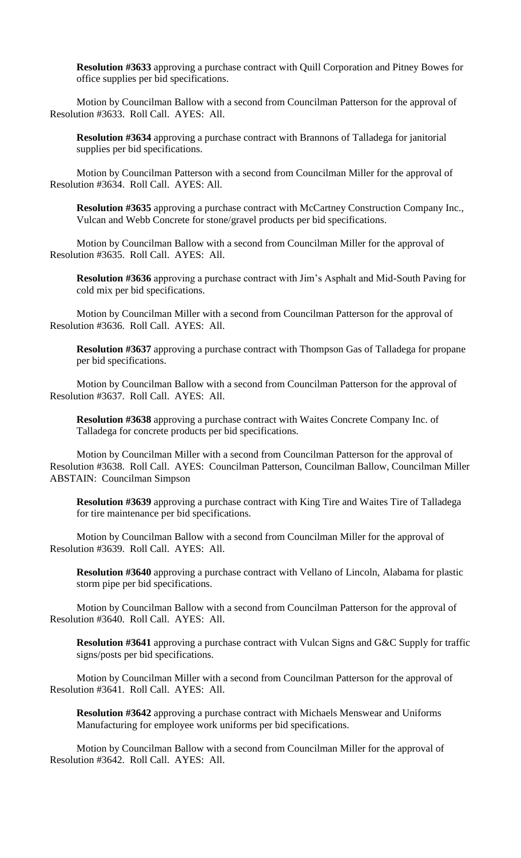**Resolution #3633** approving a purchase contract with Quill Corporation and Pitney Bowes for office supplies per bid specifications.

Motion by Councilman Ballow with a second from Councilman Patterson for the approval of Resolution #3633. Roll Call. AYES: All.

**Resolution #3634** approving a purchase contract with Brannons of Talladega for janitorial supplies per bid specifications.

Motion by Councilman Patterson with a second from Councilman Miller for the approval of Resolution #3634. Roll Call. AYES: All.

**Resolution #3635** approving a purchase contract with McCartney Construction Company Inc., Vulcan and Webb Concrete for stone/gravel products per bid specifications.

Motion by Councilman Ballow with a second from Councilman Miller for the approval of Resolution #3635. Roll Call. AYES: All.

**Resolution #3636** approving a purchase contract with Jim's Asphalt and Mid-South Paving for cold mix per bid specifications.

Motion by Councilman Miller with a second from Councilman Patterson for the approval of Resolution #3636. Roll Call. AYES: All.

**Resolution #3637** approving a purchase contract with Thompson Gas of Talladega for propane per bid specifications.

Motion by Councilman Ballow with a second from Councilman Patterson for the approval of Resolution #3637. Roll Call. AYES: All.

**Resolution #3638** approving a purchase contract with Waites Concrete Company Inc. of Talladega for concrete products per bid specifications.

Motion by Councilman Miller with a second from Councilman Patterson for the approval of Resolution #3638. Roll Call. AYES: Councilman Patterson, Councilman Ballow, Councilman Miller ABSTAIN: Councilman Simpson

**Resolution #3639** approving a purchase contract with King Tire and Waites Tire of Talladega for tire maintenance per bid specifications.

Motion by Councilman Ballow with a second from Councilman Miller for the approval of Resolution #3639. Roll Call. AYES: All.

**Resolution #3640** approving a purchase contract with Vellano of Lincoln, Alabama for plastic storm pipe per bid specifications.

Motion by Councilman Ballow with a second from Councilman Patterson for the approval of Resolution #3640. Roll Call. AYES: All.

**Resolution #3641** approving a purchase contract with Vulcan Signs and G&C Supply for traffic signs/posts per bid specifications.

Motion by Councilman Miller with a second from Councilman Patterson for the approval of Resolution #3641. Roll Call. AYES: All.

**Resolution #3642** approving a purchase contract with Michaels Menswear and Uniforms Manufacturing for employee work uniforms per bid specifications.

Motion by Councilman Ballow with a second from Councilman Miller for the approval of Resolution #3642. Roll Call. AYES: All.